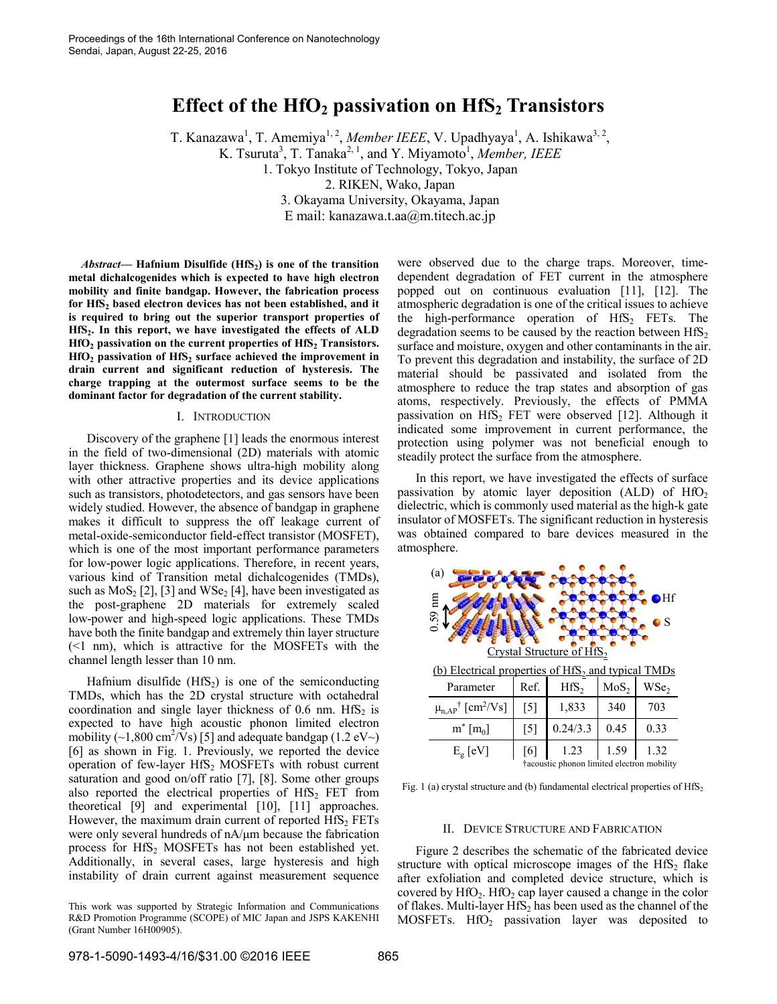# **Effect of the HfO<sup>2</sup> passivation on HfS<sup>2</sup> Transistors**

T. Kanazawa<sup>1</sup>, T. Amemiya<sup>1, 2</sup>, *Member IEEE*, V. Upadhyaya<sup>1</sup>, A. Ishikawa<sup>3, 2</sup>, K. Tsuruta<sup>3</sup>, T. Tanaka<sup>2, 1</sup>, and Y. Miyamoto<sup>1</sup>, Member, IEEE 1. Tokyo Institute of Technology, Tokyo, Japan 2. RIKEN, Wako, Japan 3. Okayama University, Okayama, Japan E mail: kanazawa.t.aa@m.titech.ac.jp

*Abstract***— Hafnium Disulfide (HfS<sup>2</sup> ) is one of the transition metal dichalcogenides which is expected to have high electron mobility and finite bandgap. However, the fabrication process for HfS<sup>2</sup> based electron devices has not been established, and it is required to bring out the superior transport properties of HfS<sup>2</sup> . In this report, we have investigated the effects of ALD HfO<sup>2</sup> passivation on the current properties of HfS<sup>2</sup> Transistors. HfO<sup>2</sup> passivation of HfS<sup>2</sup> surface achieved the improvement in drain current and significant reduction of hysteresis. The charge trapping at the outermost surface seems to be the dominant factor for degradation of the current stability.**

#### I. INTRODUCTION

Discovery of the graphene [1] leads the enormous interest in the field of two-dimensional (2D) materials with atomic layer thickness. Graphene shows ultra-high mobility along with other attractive properties and its device applications such as transistors, photodetectors, and gas sensors have been widely studied. However, the absence of bandgap in graphene makes it difficult to suppress the off leakage current of metal-oxide-semiconductor field-effect transistor (MOSFET), which is one of the most important performance parameters for low-power logic applications. Therefore, in recent years, various kind of Transition metal dichalcogenides (TMDs), such as  $MoS_2$  [2], [3] and  $WSe_2$  [4], have been investigated as the post-graphene 2D materials for extremely scaled low-power and high-speed logic applications. These TMDs have both the finite bandgap and extremely thin layer structure (<1 nm), which is attractive for the MOSFETs with the channel length lesser than 10 nm.

Hafnium disulfide  $(HfS_2)$  is one of the semiconducting TMDs, which has the 2D crystal structure with octahedral coordination and single layer thickness of  $0.6$  nm. HfS<sub>2</sub> is expected to have high acoustic phonon limited electron mobility ( $\sim$ 1,800 cm<sup>2</sup>/Vs) [5] and adequate bandgap (1.2 eV $\sim$ ) [6] as shown in Fig. 1. Previously, we reported the device operation of few-layer  $HfS_2$  MOSFETs with robust current saturation and good on/off ratio [7], [8]. Some other groups also reported the electrical properties of  $HfS<sub>2</sub> FET$  from theoretical [9] and experimental [10], [11] approaches. However, the maximum drain current of reported  $HfS<sub>2</sub> FETs$ were only several hundreds of nA/μm because the fabrication process for  $HfS_2$  MOSFETs has not been established yet. Additionally, in several cases, large hysteresis and high instability of drain current against measurement sequence

This work was supported by Strategic Information and Communications R&D Promotion Programme (SCOPE) of MIC Japan and JSPS KAKENHI (Grant Number 16H00905).

were observed due to the charge traps. Moreover, timedependent degradation of FET current in the atmosphere popped out on continuous evaluation [11], [12]. The atmospheric degradation is one of the critical issues to achieve the high-performance operation of  $HfS<sub>2</sub>$  FETs. The degradation seems to be caused by the reaction between  $HfS<sub>2</sub>$ surface and moisture, oxygen and other contaminants in the air. To prevent this degradation and instability, the surface of 2D material should be passivated and isolated from the atmosphere to reduce the trap states and absorption of gas atoms, respectively. Previously, the effects of PMMA passivation on  $HIS<sub>2</sub> FET$  were observed [12]. Although it indicated some improvement in current performance, the protection using polymer was not beneficial enough to steadily protect the surface from the atmosphere.

In this report, we have investigated the effects of surface passivation by atomic layer deposition  $(ALD)$  of  $HfO<sub>2</sub>$ dielectric, which is commonly used material as the high-k gate insulator of MOSFETs. The significant reduction in hysteresis was obtained compared to bare devices measured in the atmosphere.



(b) Electrical properties of  $HfS_2$  and typical TMDs

| Parameter                                      | Ref.              | HfS <sub>2</sub> | $MoS_{2}$ | WSe <sub>2</sub> |
|------------------------------------------------|-------------------|------------------|-----------|------------------|
| $\mu_{nAP}$ <sup>†</sup> [cm <sup>2</sup> /Vs] | [5]               | 1,833            | 340       | 703              |
| $m^*$ [m <sub>0</sub> ]                        | $\lceil 5 \rceil$ | 0.24/3.3         | 0.45      | 0.33             |
| $E_{\rm g}$ [eV]                               | [6]               | 1.23             | 1.59      | 1.32             |
| †acoustic phonon limited electron mobility     |                   |                  |           |                  |

Fig. 1 (a) crystal structure and (b) fundamental electrical properties of  $\text{HfS}_2$ 

#### II. DEVICE STRUCTURE AND FABRICATION

Figure 2 describes the schematic of the fabricated device structure with optical microscope images of the  $HfS<sub>2</sub>$  flake after exfoliation and completed device structure, which is covered by  $HfO<sub>2</sub>$ .  $HfO<sub>2</sub>$  cap layer caused a change in the color of flakes. Multi-layer  $HfS_2$  has been used as the channel of the MOSFETs.  $HfO<sub>2</sub>$  passivation layer was deposited to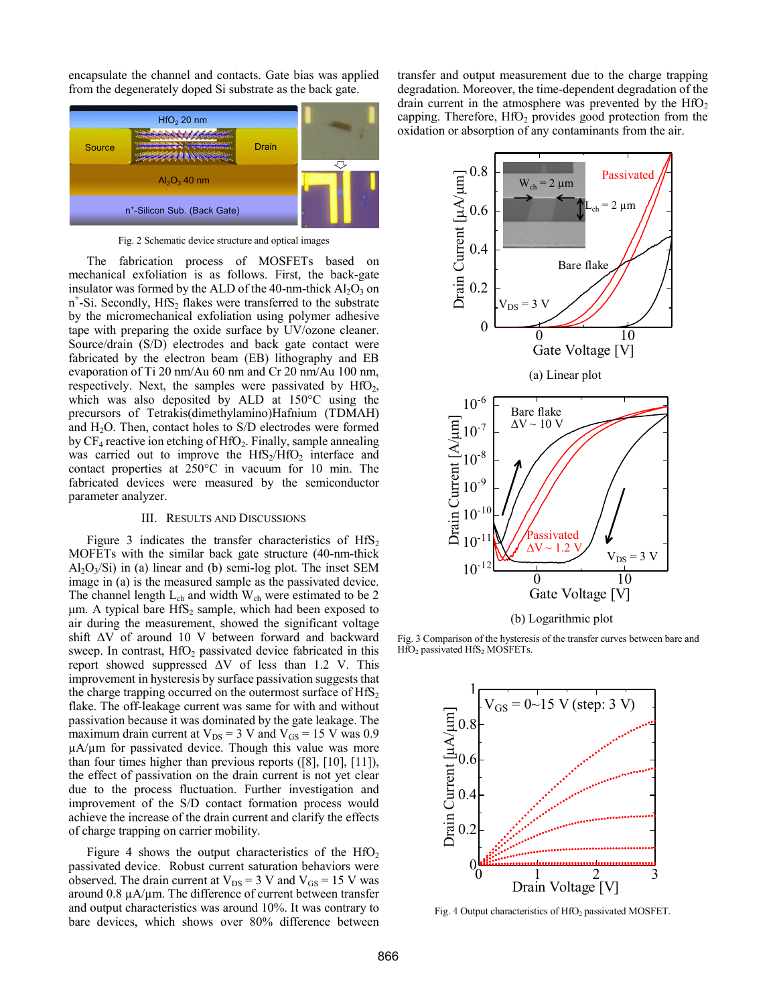encapsulate the channel and contacts. Gate bias was applied from the degenerately doped Si substrate as the back gate.



Fig. 2 Schematic device structure and optical images

The fabrication process of MOSFETs based on mechanical exfoliation is as follows. First, the back-gate insulator was formed by the ALD of the 40-nm-thick  $Al_2O_3$  on  $n^+$ -Si. Secondly, HfS<sub>2</sub> flakes were transferred to the substrate by the micromechanical exfoliation using polymer adhesive tape with preparing the oxide surface by UV/ozone cleaner. Source/drain (S/D) electrodes and back gate contact were fabricated by the electron beam (EB) lithography and EB evaporation of Ti 20 nm/Au 60 nm and Cr 20 nm/Au 100 nm, respectively. Next, the samples were passivated by  $HfO<sub>2</sub>$ , which was also deposited by ALD at 150°C using the precursors of Tetrakis(dimethylamino)Hafnium (TDMAH) and  $H_2O$ . Then, contact holes to  $S/D$  electrodes were formed by  $CF_4$  reactive ion etching of HfO<sub>2</sub>. Finally, sample annealing was carried out to improve the  $HfS<sub>2</sub>/HfO<sub>2</sub>$  interface and contact properties at 250°C in vacuum for 10 min. The fabricated devices were measured by the semiconductor parameter analyzer.

## III. RESULTS AND DISCUSSIONS

Figure 3 indicates the transfer characteristics of  $HfS<sub>2</sub>$ MOFETs with the similar back gate structure (40-nm-thick  $Al_2O_3/Si$  in (a) linear and (b) semi-log plot. The inset SEM image in (a) is the measured sample as the passivated device. The channel length  $L_{ch}$  and width  $W_{ch}$  were estimated to be 2  $\mu$ m. A typical bare HfS<sub>2</sub> sample, which had been exposed to air during the measurement, showed the significant voltage shift ΔV of around 10 V between forward and backward sweep. In contrast,  $HfO<sub>2</sub>$  passivated device fabricated in this report showed suppressed  $\Delta V$  of less than 1.2 V. This improvement in hysteresis by surface passivation suggests that the charge trapping occurred on the outermost surface of  $HfS<sub>2</sub>$ flake. The off-leakage current was same for with and without passivation because it was dominated by the gate leakage. The maximum drain current at  $V_{DS} = 3$  V and  $V_{GS} = 15$  V was 0.9  $\mu$ A/ $\mu$ m for passivated device. Though this value was more than four times higher than previous reports ([8], [10], [11]), the effect of passivation on the drain current is not yet clear due to the process fluctuation. Further investigation and improvement of the S/D contact formation process would achieve the increase of the drain current and clarify the effects of charge trapping on carrier mobility.

Figure 4 shows the output characteristics of the  $HfO<sub>2</sub>$ passivated device. Robust current saturation behaviors were observed. The drain current at  $V_{DS} = 3$  V and  $V_{GS} = 15$  V was around 0.8  $\mu$ A/ $\mu$ m. The difference of current between transfer and output characteristics was around 10%. It was contrary to bare devices, which shows over 80% difference between

transfer and output measurement due to the charge trapping degradation. Moreover, the time-dependent degradation of the drain current in the atmosphere was prevented by the  $HfO<sub>2</sub>$ capping. Therefore,  $HfO<sub>2</sub>$  provides good protection from the oxidation or absorption of any contaminants from the air.



Fig. 3 Comparison of the hysteresis of the transfer curves between bare and HfO<sub>2</sub> passivated HfS<sub>2</sub> MOSFETs.



Fig. 4 Output characteristics of HfO<sub>2</sub> passivated MOSFET.